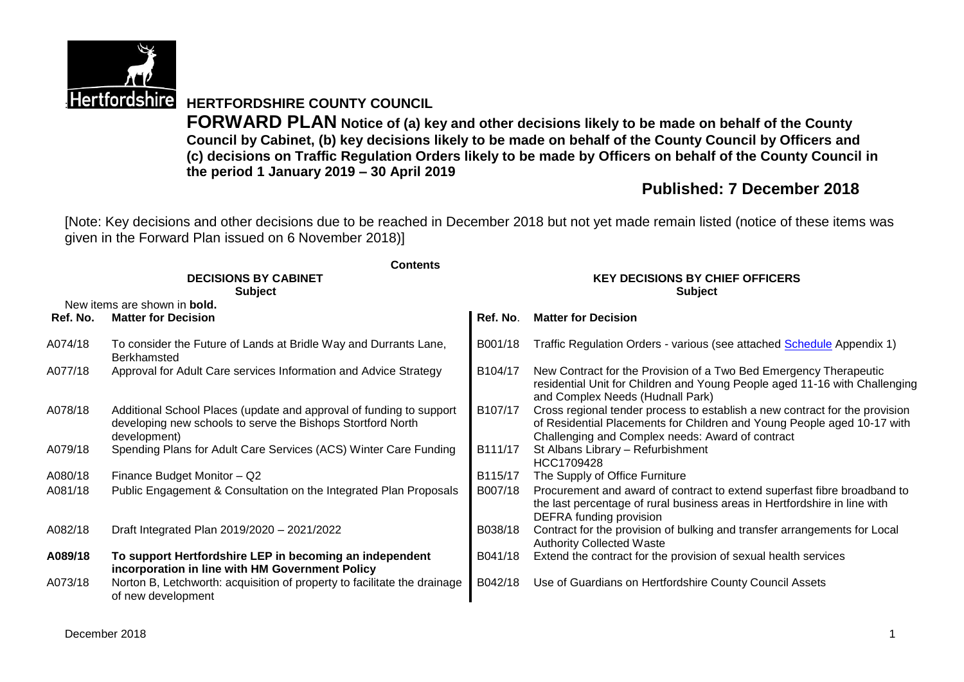

**Hertfordshire HERTFORDSHIRE COUNTY COUNCIL** 

**FORWARD PLAN Notice of (a) key and other decisions likely to be made on behalf of the County Council by Cabinet, (b) key decisions likely to be made on behalf of the County Council by Officers and (c) decisions on Traffic Regulation Orders likely to be made by Officers on behalf of the County Council in the period 1 January 2019 – 30 April 2019**

# **Published: 7 December 2018**

[Note: Key decisions and other decisions due to be reached in December 2018 but not yet made remain listed (notice of these items was given in the Forward Plan issued on 6 November 2018)]

|          | <b>Contents</b><br><b>DECISIONS BY CABINET</b>                                                                                                     | <b>KEY DECISIONS BY CHIEF OFFICERS</b> |                                                                                                                                                                                                            |  |  |
|----------|----------------------------------------------------------------------------------------------------------------------------------------------------|----------------------------------------|------------------------------------------------------------------------------------------------------------------------------------------------------------------------------------------------------------|--|--|
|          | <b>Subject</b><br>New items are shown in <b>bold.</b>                                                                                              |                                        | <b>Subject</b>                                                                                                                                                                                             |  |  |
| Ref. No. | <b>Matter for Decision</b>                                                                                                                         | Ref. No.                               | <b>Matter for Decision</b>                                                                                                                                                                                 |  |  |
| A074/18  | To consider the Future of Lands at Bridle Way and Durrants Lane,<br>Berkhamsted                                                                    | B001/18                                | Traffic Regulation Orders - various (see attached Schedule Appendix 1)                                                                                                                                     |  |  |
| A077/18  | Approval for Adult Care services Information and Advice Strategy                                                                                   | B104/17                                | New Contract for the Provision of a Two Bed Emergency Therapeutic<br>residential Unit for Children and Young People aged 11-16 with Challenging<br>and Complex Needs (Hudnall Park)                        |  |  |
| A078/18  | Additional School Places (update and approval of funding to support<br>developing new schools to serve the Bishops Stortford North<br>development) | B107/17                                | Cross regional tender process to establish a new contract for the provision<br>of Residential Placements for Children and Young People aged 10-17 with<br>Challenging and Complex needs: Award of contract |  |  |
| A079/18  | Spending Plans for Adult Care Services (ACS) Winter Care Funding                                                                                   | B111/17                                | St Albans Library - Refurbishment<br>HCC1709428                                                                                                                                                            |  |  |
| A080/18  | Finance Budget Monitor - Q2                                                                                                                        | B115/17                                | The Supply of Office Furniture                                                                                                                                                                             |  |  |
| A081/18  | Public Engagement & Consultation on the Integrated Plan Proposals                                                                                  | B007/18                                | Procurement and award of contract to extend superfast fibre broadband to<br>the last percentage of rural business areas in Hertfordshire in line with<br>DEFRA funding provision                           |  |  |
| A082/18  | Draft Integrated Plan 2019/2020 - 2021/2022                                                                                                        | B038/18                                | Contract for the provision of bulking and transfer arrangements for Local<br><b>Authority Collected Waste</b>                                                                                              |  |  |
| A089/18  | To support Hertfordshire LEP in becoming an independent<br>incorporation in line with HM Government Policy                                         | B041/18                                | Extend the contract for the provision of sexual health services                                                                                                                                            |  |  |
| A073/18  | Norton B, Letchworth: acquisition of property to facilitate the drainage<br>of new development                                                     | B042/18                                | Use of Guardians on Hertfordshire County Council Assets                                                                                                                                                    |  |  |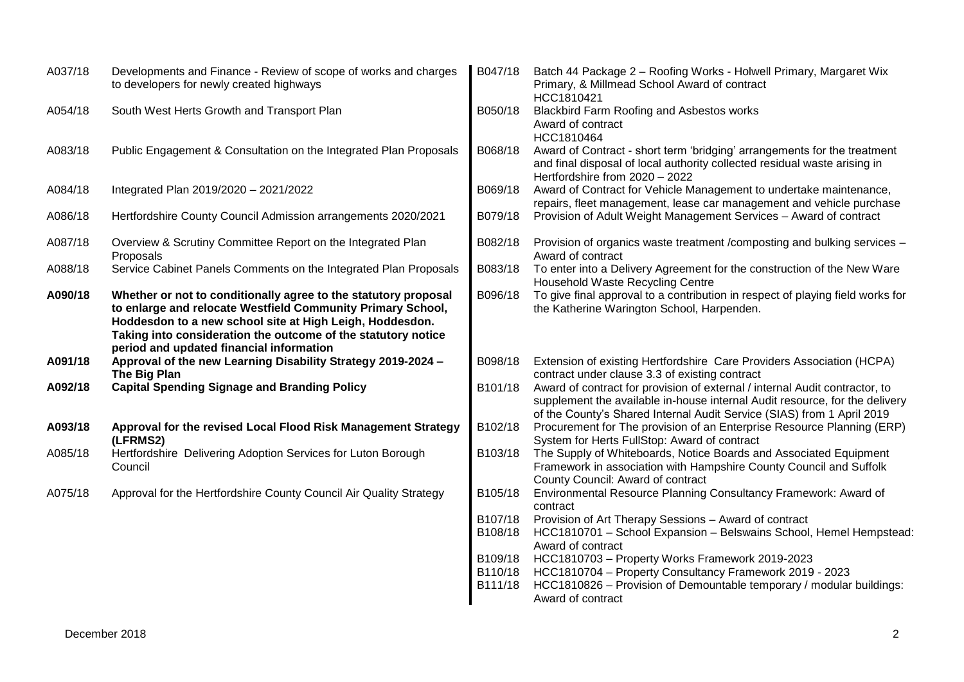| A037/18 | Developments and Finance - Review of scope of works and charges<br>to developers for newly created highways                                                                                                                                                                                             | B047/18            | Batch 44 Package 2 - Roofing Works - Holwell Primary, Margaret Wix<br>Primary, & Millmead School Award of contract<br>HCC1810421                                                                                                     |
|---------|---------------------------------------------------------------------------------------------------------------------------------------------------------------------------------------------------------------------------------------------------------------------------------------------------------|--------------------|--------------------------------------------------------------------------------------------------------------------------------------------------------------------------------------------------------------------------------------|
| A054/18 | South West Herts Growth and Transport Plan                                                                                                                                                                                                                                                              | B050/18            | Blackbird Farm Roofing and Asbestos works<br>Award of contract<br>HCC1810464                                                                                                                                                         |
| A083/18 | Public Engagement & Consultation on the Integrated Plan Proposals                                                                                                                                                                                                                                       | B068/18            | Award of Contract - short term 'bridging' arrangements for the treatment<br>and final disposal of local authority collected residual waste arising in<br>Hertfordshire from 2020 - 2022                                              |
| A084/18 | Integrated Plan 2019/2020 - 2021/2022                                                                                                                                                                                                                                                                   | B069/18            | Award of Contract for Vehicle Management to undertake maintenance,<br>repairs, fleet management, lease car management and vehicle purchase                                                                                           |
| A086/18 | Hertfordshire County Council Admission arrangements 2020/2021                                                                                                                                                                                                                                           | B079/18            | Provision of Adult Weight Management Services - Award of contract                                                                                                                                                                    |
| A087/18 | Overview & Scrutiny Committee Report on the Integrated Plan<br>Proposals                                                                                                                                                                                                                                | B082/18            | Provision of organics waste treatment /composting and bulking services -<br>Award of contract                                                                                                                                        |
| A088/18 | Service Cabinet Panels Comments on the Integrated Plan Proposals                                                                                                                                                                                                                                        | B083/18            | To enter into a Delivery Agreement for the construction of the New Ware<br>Household Waste Recycling Centre                                                                                                                          |
| A090/18 | Whether or not to conditionally agree to the statutory proposal<br>to enlarge and relocate Westfield Community Primary School,<br>Hoddesdon to a new school site at High Leigh, Hoddesdon.<br>Taking into consideration the outcome of the statutory notice<br>period and updated financial information | B096/18            | To give final approval to a contribution in respect of playing field works for<br>the Katherine Warington School, Harpenden.                                                                                                         |
| A091/18 | Approval of the new Learning Disability Strategy 2019-2024 -<br>The Big Plan                                                                                                                                                                                                                            | B098/18            | Extension of existing Hertfordshire Care Providers Association (HCPA)<br>contract under clause 3.3 of existing contract                                                                                                              |
| A092/18 | <b>Capital Spending Signage and Branding Policy</b>                                                                                                                                                                                                                                                     | B101/18            | Award of contract for provision of external / internal Audit contractor, to<br>supplement the available in-house internal Audit resource, for the delivery<br>of the County's Shared Internal Audit Service (SIAS) from 1 April 2019 |
| A093/18 | Approval for the revised Local Flood Risk Management Strategy<br>(LFRMS2)                                                                                                                                                                                                                               | B102/18            | Procurement for The provision of an Enterprise Resource Planning (ERP)<br>System for Herts FullStop: Award of contract                                                                                                               |
| A085/18 | Hertfordshire Delivering Adoption Services for Luton Borough<br>Council                                                                                                                                                                                                                                 | B103/18            | The Supply of Whiteboards, Notice Boards and Associated Equipment<br>Framework in association with Hampshire County Council and Suffolk<br>County Council: Award of contract                                                         |
| A075/18 | Approval for the Hertfordshire County Council Air Quality Strategy                                                                                                                                                                                                                                      | B105/18            | Environmental Resource Planning Consultancy Framework: Award of<br>contract                                                                                                                                                          |
|         |                                                                                                                                                                                                                                                                                                         | B107/18<br>B108/18 | Provision of Art Therapy Sessions - Award of contract<br>HCC1810701 - School Expansion - Belswains School, Hemel Hempstead:<br>Award of contract                                                                                     |
|         |                                                                                                                                                                                                                                                                                                         | B109/18            | HCC1810703 - Property Works Framework 2019-2023                                                                                                                                                                                      |
|         |                                                                                                                                                                                                                                                                                                         | B110/18            | HCC1810704 - Property Consultancy Framework 2019 - 2023                                                                                                                                                                              |
|         |                                                                                                                                                                                                                                                                                                         | B111/18            | HCC1810826 - Provision of Demountable temporary / modular buildings:<br>Award of contract                                                                                                                                            |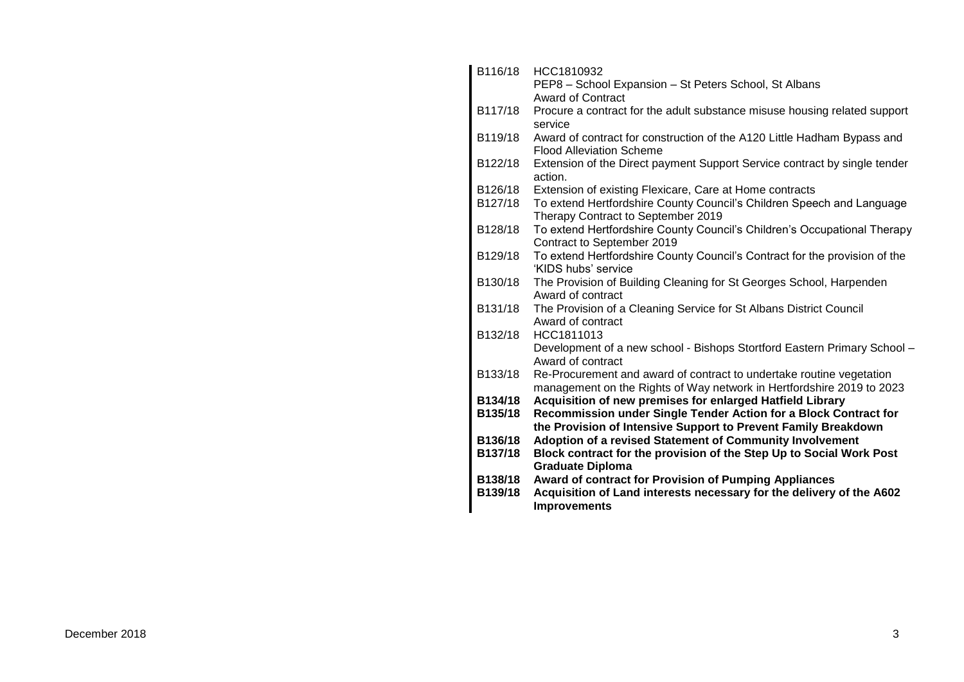| B116/18 | HCC1810932                                                                                                                                    |
|---------|-----------------------------------------------------------------------------------------------------------------------------------------------|
|         | PEP8 - School Expansion - St Peters School, St Albans<br><b>Award of Contract</b>                                                             |
| B117/18 | Procure a contract for the adult substance misuse housing related support<br>service                                                          |
| B119/18 | Award of contract for construction of the A120 Little Hadham Bypass and<br><b>Flood Alleviation Scheme</b>                                    |
| B122/18 | Extension of the Direct payment Support Service contract by single tender<br>action.                                                          |
| B126/18 | Extension of existing Flexicare, Care at Home contracts                                                                                       |
| B127/18 | To extend Hertfordshire County Council's Children Speech and Language<br>Therapy Contract to September 2019                                   |
| B128/18 | To extend Hertfordshire County Council's Children's Occupational Therapy<br>Contract to September 2019                                        |
| B129/18 | To extend Hertfordshire County Council's Contract for the provision of the<br>'KIDS hubs' service                                             |
| B130/18 | The Provision of Building Cleaning for St Georges School, Harpenden<br>Award of contract                                                      |
| B131/18 | The Provision of a Cleaning Service for St Albans District Council<br>Award of contract                                                       |
| B132/18 | HCC1811013                                                                                                                                    |
|         | Development of a new school - Bishops Stortford Eastern Primary School -<br>Award of contract                                                 |
| B133/18 | Re-Procurement and award of contract to undertake routine vegetation<br>management on the Rights of Way network in Hertfordshire 2019 to 2023 |
| B134/18 | Acquisition of new premises for enlarged Hatfield Library                                                                                     |
| B135/18 | Recommission under Single Tender Action for a Block Contract for<br>the Provision of Intensive Support to Prevent Family Breakdown            |
| B136/18 | Adoption of a revised Statement of Community Involvement                                                                                      |
| B137/18 | Block contract for the provision of the Step Up to Social Work Post<br><b>Graduate Diploma</b>                                                |
| B138/18 | <b>Award of contract for Provision of Pumping Appliances</b>                                                                                  |
| B139/18 | Acquisition of Land interests necessary for the delivery of the A602<br><b>Improvements</b>                                                   |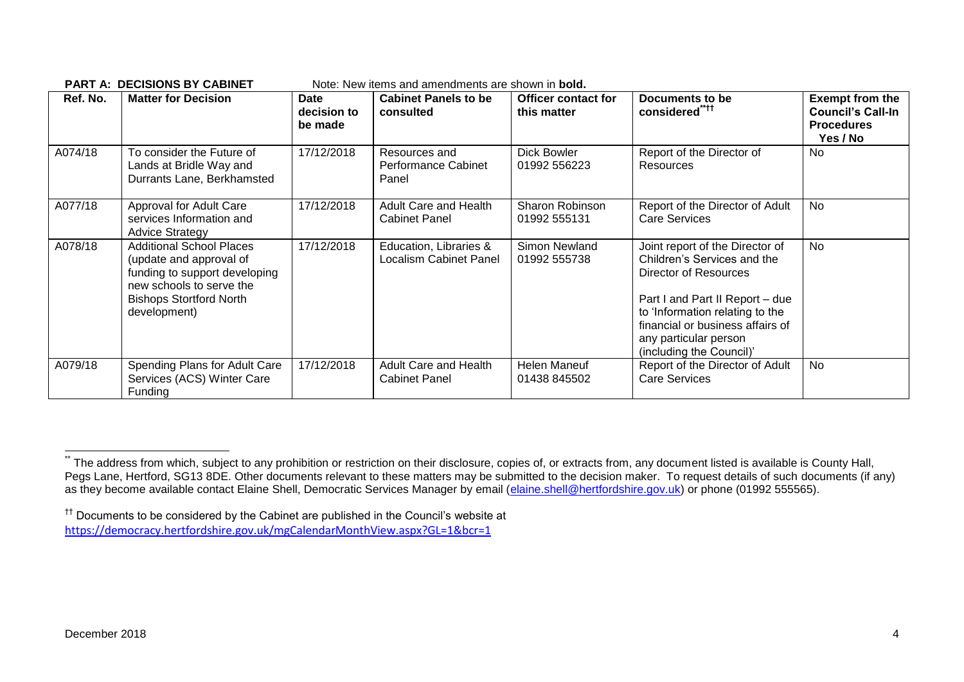| Ref. No. | <b>Matter for Decision</b>                                                                                                                                                | Date<br>decision to<br>be made | <b>Cabinet Panels to be</b><br>consulted         | <b>Officer contact for</b><br>this matter | Documents to be<br>considered****                                                                                                                                                                                                                      | <b>Exempt from the</b><br><b>Council's Call-In</b><br><b>Procedures</b><br>Yes / No |
|----------|---------------------------------------------------------------------------------------------------------------------------------------------------------------------------|--------------------------------|--------------------------------------------------|-------------------------------------------|--------------------------------------------------------------------------------------------------------------------------------------------------------------------------------------------------------------------------------------------------------|-------------------------------------------------------------------------------------|
| A074/18  | To consider the Future of<br>Lands at Bridle Way and<br>Durrants Lane, Berkhamsted                                                                                        | 17/12/2018                     | Resources and<br>Performance Cabinet<br>Panel    | <b>Dick Bowler</b><br>01992 556223        | Report of the Director of<br><b>Resources</b>                                                                                                                                                                                                          | No                                                                                  |
| A077/18  | Approval for Adult Care<br>services Information and<br><b>Advice Strategy</b>                                                                                             | 17/12/2018                     | Adult Care and Health<br><b>Cabinet Panel</b>    | Sharon Robinson<br>01992 555131           | Report of the Director of Adult<br><b>Care Services</b>                                                                                                                                                                                                | <b>No</b>                                                                           |
| A078/18  | <b>Additional School Places</b><br>(update and approval of<br>funding to support developing<br>new schools to serve the<br><b>Bishops Stortford North</b><br>development) | 17/12/2018                     | Education, Libraries &<br>Localism Cabinet Panel | Simon Newland<br>01992 555738             | Joint report of the Director of<br>Children's Services and the<br>Director of Resources<br>Part I and Part II Report - due<br>to 'Information relating to the<br>financial or business affairs of<br>any particular person<br>(including the Council)' | <b>No</b>                                                                           |
| A079/18  | Spending Plans for Adult Care<br>Services (ACS) Winter Care<br>Funding                                                                                                    | 17/12/2018                     | Adult Care and Health<br><b>Cabinet Panel</b>    | Helen Maneuf<br>01438 845502              | Report of the Director of Adult<br><b>Care Services</b>                                                                                                                                                                                                | No                                                                                  |

#### **PART A: DECISIONS BY CABINET** Note: New items and amendments are shown in **bold.**

1

The address from which, subject to any prohibition or restriction on their disclosure, copies of, or extracts from, any document listed is available is County Hall, Pegs Lane, Hertford, SG13 8DE. Other documents relevant to these matters may be submitted to the decision maker. To request details of such documents (if any) as they become available contact Elaine Shell, Democratic Services Manager by email [\(elaine.shell@hertfordshire.gov.uk\)](mailto:elaine.shell@hertfordshire.gov.uk) or phone (01992 555565).

<sup>††</sup> Documents to be considered by the Cabinet are published in the Council's website at <https://democracy.hertfordshire.gov.uk/mgCalendarMonthView.aspx?GL=1&bcr=1>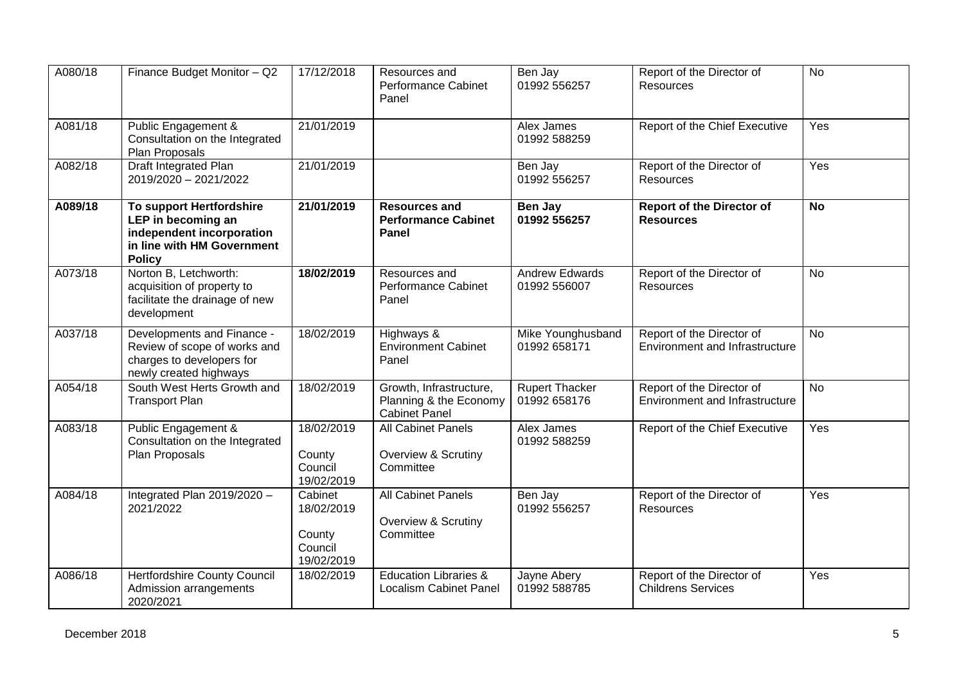| A080/18 | Finance Budget Monitor - Q2                                                                                                | 17/12/2018                                               | Resources and<br><b>Performance Cabinet</b><br>Panel                      | Ben Jay<br>01992 556257               | Report of the Director of<br><b>Resources</b>                      | <b>No</b> |
|---------|----------------------------------------------------------------------------------------------------------------------------|----------------------------------------------------------|---------------------------------------------------------------------------|---------------------------------------|--------------------------------------------------------------------|-----------|
| A081/18 | Public Engagement &<br>Consultation on the Integrated<br>Plan Proposals                                                    | 21/01/2019                                               |                                                                           | Alex James<br>01992 588259            | Report of the Chief Executive                                      | Yes       |
| A082/18 | Draft Integrated Plan<br>2019/2020 - 2021/2022                                                                             | 21/01/2019                                               |                                                                           | Ben Jay<br>01992 556257               | Report of the Director of<br><b>Resources</b>                      | Yes       |
| A089/18 | To support Hertfordshire<br>LEP in becoming an<br>independent incorporation<br>in line with HM Government<br><b>Policy</b> | 21/01/2019                                               | <b>Resources and</b><br><b>Performance Cabinet</b><br>Panel               | Ben Jay<br>01992 556257               | <b>Report of the Director of</b><br><b>Resources</b>               | <b>No</b> |
| A073/18 | Norton B, Letchworth:<br>acquisition of property to<br>facilitate the drainage of new<br>development                       | 18/02/2019                                               | Resources and<br>Performance Cabinet<br>Panel                             | <b>Andrew Edwards</b><br>01992 556007 | Report of the Director of<br><b>Resources</b>                      | <b>No</b> |
| A037/18 | Developments and Finance -<br>Review of scope of works and<br>charges to developers for<br>newly created highways          | 18/02/2019                                               | Highways &<br><b>Environment Cabinet</b><br>Panel                         | Mike Younghusband<br>01992 658171     | Report of the Director of<br><b>Environment and Infrastructure</b> | <b>No</b> |
| A054/18 | South West Herts Growth and<br><b>Transport Plan</b>                                                                       | 18/02/2019                                               | Growth, Infrastructure,<br>Planning & the Economy<br><b>Cabinet Panel</b> | <b>Rupert Thacker</b><br>01992 658176 | Report of the Director of<br><b>Environment and Infrastructure</b> | No        |
| A083/18 | <b>Public Engagement &amp;</b><br>Consultation on the Integrated<br>Plan Proposals                                         | 18/02/2019<br>County<br>Council<br>19/02/2019            | <b>All Cabinet Panels</b><br>Overview & Scrutiny<br>Committee             | Alex James<br>01992 588259            | Report of the Chief Executive                                      | Yes       |
| A084/18 | Integrated Plan 2019/2020 -<br>2021/2022                                                                                   | Cabinet<br>18/02/2019<br>County<br>Council<br>19/02/2019 | <b>All Cabinet Panels</b><br>Overview & Scrutiny<br>Committee             | Ben Jay<br>01992 556257               | Report of the Director of<br><b>Resources</b>                      | Yes       |
| A086/18 | Hertfordshire County Council<br>Admission arrangements<br>2020/2021                                                        | 18/02/2019                                               | <b>Education Libraries &amp;</b><br><b>Localism Cabinet Panel</b>         | Jayne Abery<br>01992 588785           | Report of the Director of<br><b>Childrens Services</b>             | Yes       |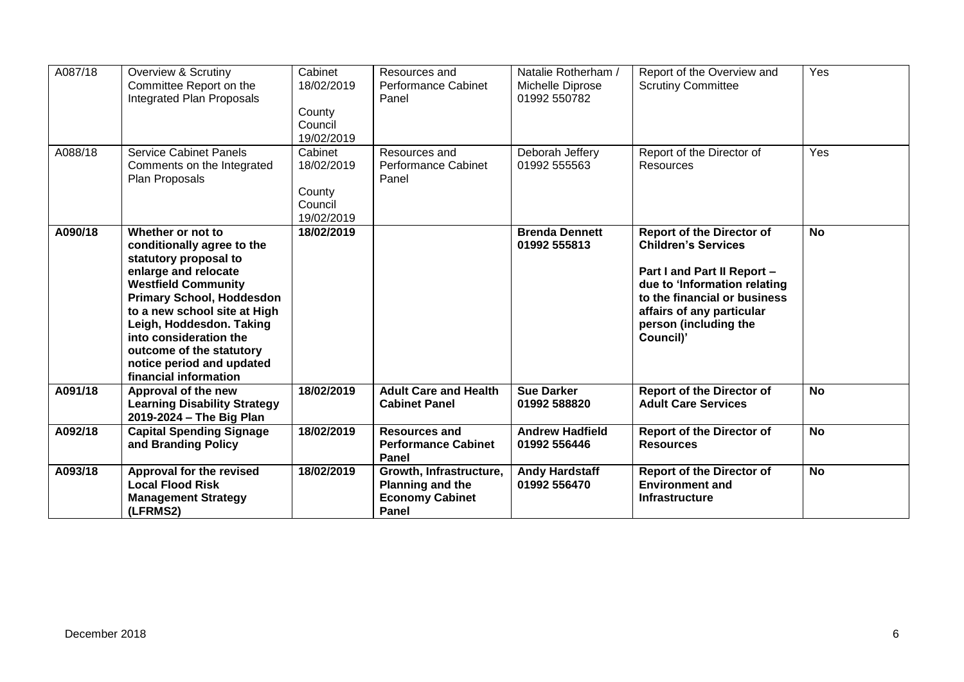| A087/18 | <b>Overview &amp; Scrutiny</b><br>Committee Report on the<br>Integrated Plan Proposals                                                                                                                                                                                                                                                     | Cabinet<br>18/02/2019<br>County<br>Council<br>19/02/2019 | Resources and<br><b>Performance Cabinet</b><br>Panel                           | Natalie Rotherham /<br>Michelle Diprose<br>01992 550782 | Report of the Overview and<br><b>Scrutiny Committee</b>                                                                                                                                                                          | Yes       |
|---------|--------------------------------------------------------------------------------------------------------------------------------------------------------------------------------------------------------------------------------------------------------------------------------------------------------------------------------------------|----------------------------------------------------------|--------------------------------------------------------------------------------|---------------------------------------------------------|----------------------------------------------------------------------------------------------------------------------------------------------------------------------------------------------------------------------------------|-----------|
| A088/18 | <b>Service Cabinet Panels</b><br>Comments on the Integrated<br>Plan Proposals                                                                                                                                                                                                                                                              | Cabinet<br>18/02/2019<br>County<br>Council<br>19/02/2019 | Resources and<br><b>Performance Cabinet</b><br>Panel                           | Deborah Jeffery<br>01992 555563                         | Report of the Director of<br>Resources                                                                                                                                                                                           | Yes       |
| A090/18 | Whether or not to<br>conditionally agree to the<br>statutory proposal to<br>enlarge and relocate<br><b>Westfield Community</b><br><b>Primary School, Hoddesdon</b><br>to a new school site at High<br>Leigh, Hoddesdon. Taking<br>into consideration the<br>outcome of the statutory<br>notice period and updated<br>financial information | 18/02/2019                                               |                                                                                | <b>Brenda Dennett</b><br>01992 555813                   | <b>Report of the Director of</b><br><b>Children's Services</b><br>Part I and Part II Report -<br>due to 'Information relating<br>to the financial or business<br>affairs of any particular<br>person (including the<br>Council)' | <b>No</b> |
| A091/18 | Approval of the new<br><b>Learning Disability Strategy</b><br>2019-2024 - The Big Plan                                                                                                                                                                                                                                                     | 18/02/2019                                               | <b>Adult Care and Health</b><br><b>Cabinet Panel</b>                           | <b>Sue Darker</b><br>01992 588820                       | <b>Report of the Director of</b><br><b>Adult Care Services</b>                                                                                                                                                                   | <b>No</b> |
| A092/18 | <b>Capital Spending Signage</b><br>and Branding Policy                                                                                                                                                                                                                                                                                     | 18/02/2019                                               | <b>Resources and</b><br><b>Performance Cabinet</b><br>Panel                    | <b>Andrew Hadfield</b><br>01992 556446                  | <b>Report of the Director of</b><br><b>Resources</b>                                                                                                                                                                             | <b>No</b> |
| A093/18 | Approval for the revised<br><b>Local Flood Risk</b><br><b>Management Strategy</b><br>(LFRMS2)                                                                                                                                                                                                                                              | 18/02/2019                                               | Growth, Infrastructure,<br>Planning and the<br><b>Economy Cabinet</b><br>Panel | <b>Andy Hardstaff</b><br>01992 556470                   | <b>Report of the Director of</b><br><b>Environment and</b><br><b>Infrastructure</b>                                                                                                                                              | <b>No</b> |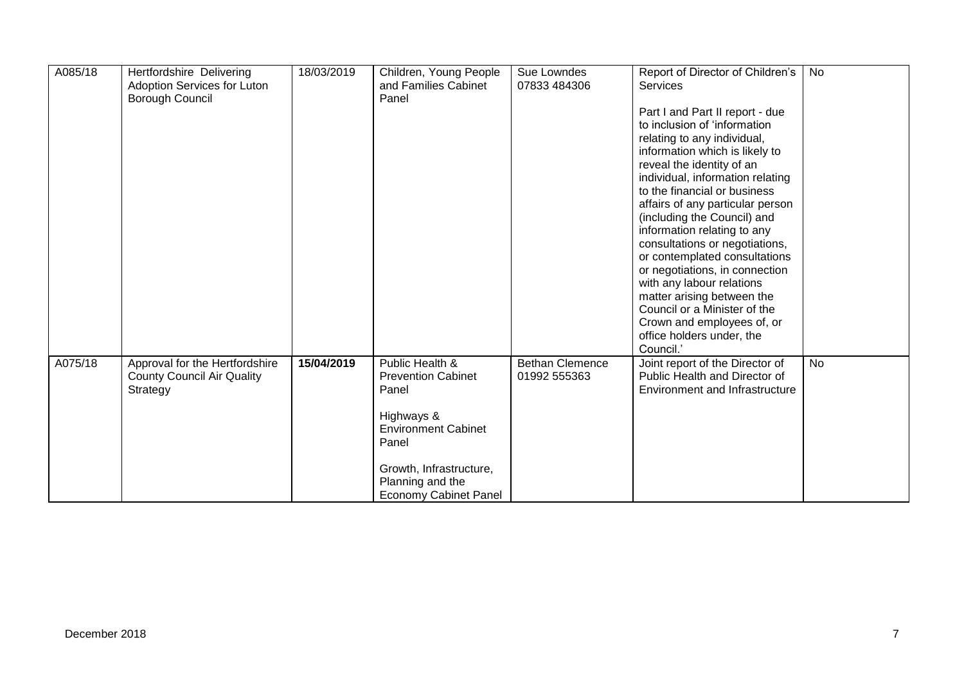| A085/18 | Hertfordshire Delivering<br>Adoption Services for Luton<br>Borough Council | 18/03/2019 | Children, Young People<br>and Families Cabinet<br>Panel | Sue Lowndes<br>07833 484306 | Report of Director of Children's<br><b>Services</b>              | No        |
|---------|----------------------------------------------------------------------------|------------|---------------------------------------------------------|-----------------------------|------------------------------------------------------------------|-----------|
|         |                                                                            |            |                                                         |                             | Part I and Part II report - due                                  |           |
|         |                                                                            |            |                                                         |                             | to inclusion of 'information                                     |           |
|         |                                                                            |            |                                                         |                             | relating to any individual,                                      |           |
|         |                                                                            |            |                                                         |                             | information which is likely to                                   |           |
|         |                                                                            |            |                                                         |                             | reveal the identity of an                                        |           |
|         |                                                                            |            |                                                         |                             | individual, information relating<br>to the financial or business |           |
|         |                                                                            |            |                                                         |                             | affairs of any particular person                                 |           |
|         |                                                                            |            |                                                         |                             | (including the Council) and                                      |           |
|         |                                                                            |            |                                                         |                             | information relating to any                                      |           |
|         |                                                                            |            |                                                         |                             | consultations or negotiations,                                   |           |
|         |                                                                            |            |                                                         |                             | or contemplated consultations                                    |           |
|         |                                                                            |            |                                                         |                             | or negotiations, in connection                                   |           |
|         |                                                                            |            |                                                         |                             | with any labour relations                                        |           |
|         |                                                                            |            |                                                         |                             | matter arising between the                                       |           |
|         |                                                                            |            |                                                         |                             | Council or a Minister of the<br>Crown and employees of, or       |           |
|         |                                                                            |            |                                                         |                             | office holders under, the                                        |           |
|         |                                                                            |            |                                                         |                             | Council.'                                                        |           |
| A075/18 | Approval for the Hertfordshire                                             | 15/04/2019 | Public Health &                                         | <b>Bethan Clemence</b>      | Joint report of the Director of                                  | <b>No</b> |
|         | <b>County Council Air Quality</b>                                          |            | <b>Prevention Cabinet</b>                               | 01992 555363                | Public Health and Director of                                    |           |
|         | Strategy                                                                   |            | Panel                                                   |                             | <b>Environment and Infrastructure</b>                            |           |
|         |                                                                            |            |                                                         |                             |                                                                  |           |
|         |                                                                            |            | Highways &                                              |                             |                                                                  |           |
|         |                                                                            |            | <b>Environment Cabinet</b><br>Panel                     |                             |                                                                  |           |
|         |                                                                            |            | Growth, Infrastructure,                                 |                             |                                                                  |           |
|         |                                                                            |            | Planning and the                                        |                             |                                                                  |           |
|         |                                                                            |            | <b>Economy Cabinet Panel</b>                            |                             |                                                                  |           |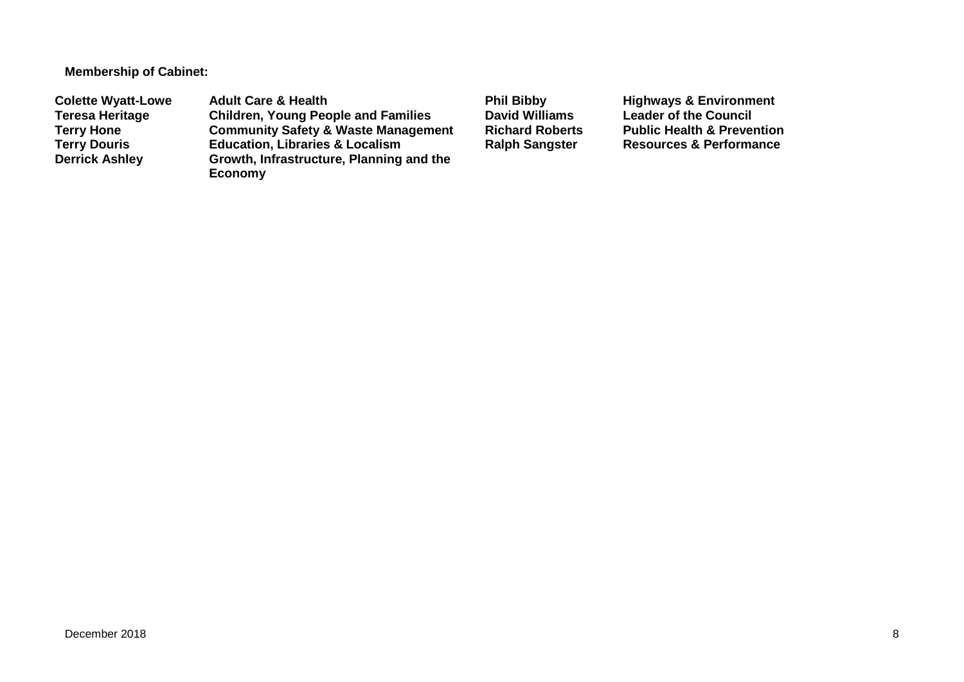**Membership of Cabinet:** 

**Colette Wyatt-Lowe** Adult Care & Health **Phil Bibby Phil Bibby** Highways & Environment<br>Teresa Heritage Children, Young People and Families David Williams Leader of the Council **Teresa Heritage Children, Young People and Families David Williams Leader of the Council Terry Hone Community Safety & Waste Management Richard Roberts Public Health & Prevention Terry Douris <b>Education, Libraries & Localism**<br> **Derrick Ashley** Growth, Infrastructure, Planning **Growth, Infrastructure, Planning and the Economy**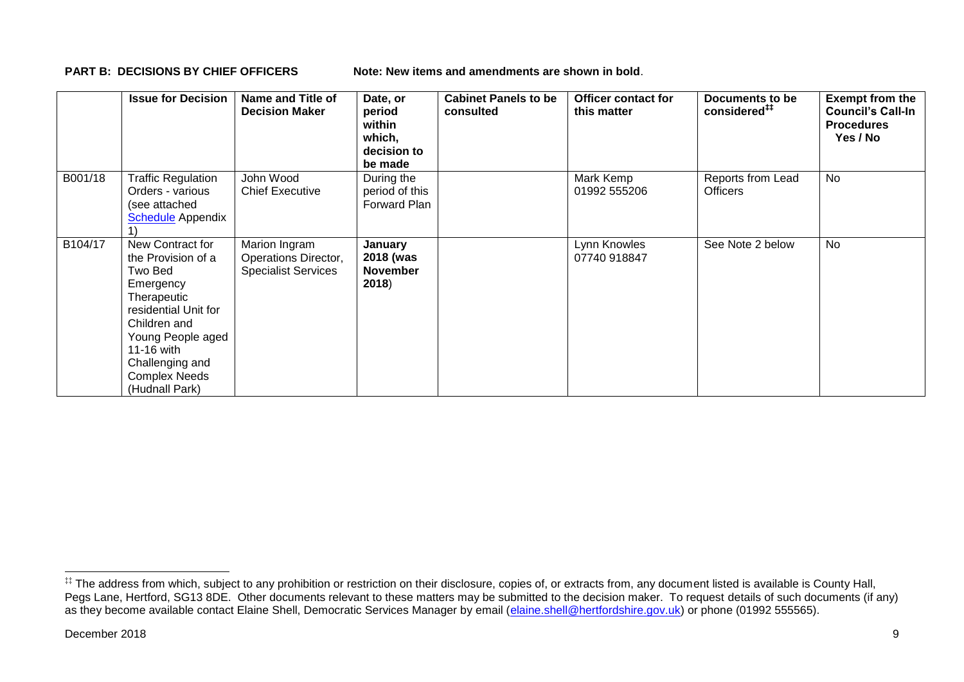**PART B: DECISIONS BY CHIEF OFFICERS Note: New items and amendments are shown in bold.** 

|         | <b>Issue for Decision</b>                                                                                                                                                                                             | Name and Title of<br><b>Decision Maker</b>                          | Date, or<br>period<br>within<br>which,<br>decision to<br>be made | <b>Cabinet Panels to be</b><br>consulted | <b>Officer contact for</b><br>this matter | Documents to be<br>considered <sup>##</sup> | <b>Exempt from the</b><br><b>Council's Call-In</b><br><b>Procedures</b><br>Yes / No |
|---------|-----------------------------------------------------------------------------------------------------------------------------------------------------------------------------------------------------------------------|---------------------------------------------------------------------|------------------------------------------------------------------|------------------------------------------|-------------------------------------------|---------------------------------------------|-------------------------------------------------------------------------------------|
| B001/18 | Traffic Regulation<br>Orders - various<br>(see attached<br><b>Schedule</b> Appendix                                                                                                                                   | John Wood<br><b>Chief Executive</b>                                 | During the<br>period of this<br>Forward Plan                     |                                          | Mark Kemp<br>01992 555206                 | Reports from Lead<br><b>Officers</b>        | No                                                                                  |
| B104/17 | New Contract for<br>the Provision of a<br>Two Bed<br>Emergency<br>Therapeutic<br>residential Unit for<br>Children and<br>Young People aged<br>11-16 with<br>Challenging and<br><b>Complex Needs</b><br>(Hudnall Park) | Marion Ingram<br>Operations Director,<br><b>Specialist Services</b> | January<br>2018 (was<br><b>November</b><br>2018)                 |                                          | Lynn Knowles<br>07740 918847              | See Note 2 below                            | <b>No</b>                                                                           |

1

<sup>‡‡</sup> The address from which, subject to any prohibition or restriction on their disclosure, copies of, or extracts from, any document listed is available is County Hall, Pegs Lane, Hertford, SG13 8DE. Other documents relevant to these matters may be submitted to the decision maker. To request details of such documents (if any) as they become available contact Elaine Shell, Democratic Services Manager by email [\(elaine.shell@hertfordshire.gov.uk\)](mailto:elaine.shell@hertfordshire.gov.uk) or phone (01992 55565).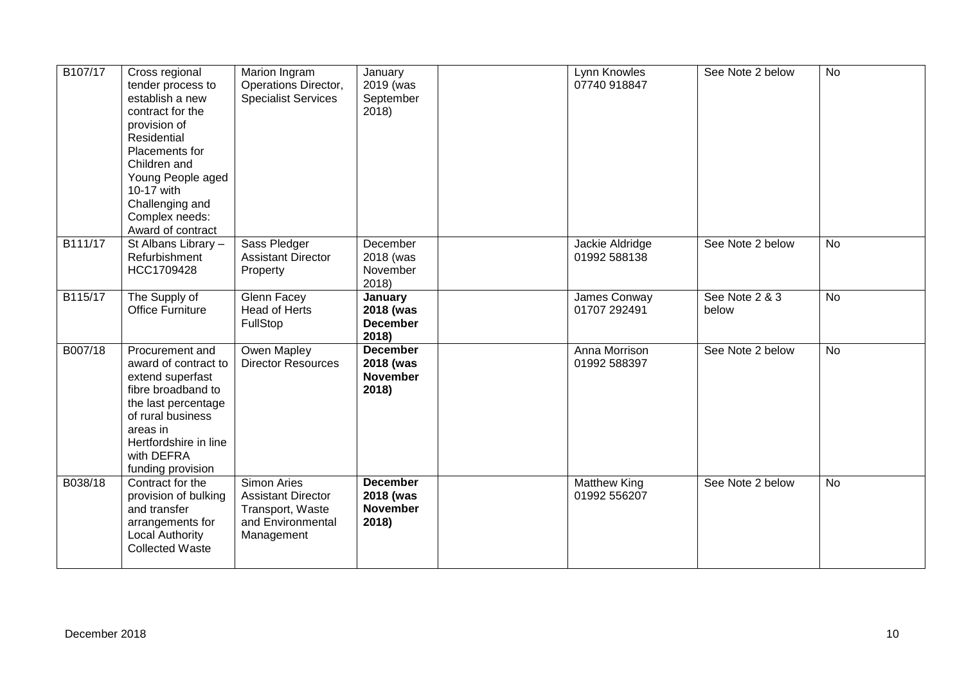| B107/17 | Cross regional<br>tender process to<br>establish a new<br>contract for the<br>provision of<br>Residential<br>Placements for<br>Children and<br>Young People aged<br>10-17 with<br>Challenging and<br>Complex needs:<br>Award of contract | Marion Ingram<br>Operations Director,<br><b>Specialist Services</b>                                    | January<br>2019 (was<br>September<br>2018)               | Lynn Knowles<br>07740 918847        | See Note 2 below        | <b>No</b>      |
|---------|------------------------------------------------------------------------------------------------------------------------------------------------------------------------------------------------------------------------------------------|--------------------------------------------------------------------------------------------------------|----------------------------------------------------------|-------------------------------------|-------------------------|----------------|
| B111/17 | St Albans Library -<br>Refurbishment<br>HCC1709428                                                                                                                                                                                       | Sass Pledger<br><b>Assistant Director</b><br>Property                                                  | December<br>2018 (was<br>November<br>2018)               | Jackie Aldridge<br>01992 588138     | See Note 2 below        | <b>No</b>      |
| B115/17 | The Supply of<br><b>Office Furniture</b>                                                                                                                                                                                                 | Glenn Facey<br>Head of Herts<br>FullStop                                                               | January<br>2018 (was<br><b>December</b><br>2018)         | James Conway<br>01707 292491        | See Note 2 & 3<br>below | $\overline{N}$ |
| B007/18 | Procurement and<br>award of contract to<br>extend superfast<br>fibre broadband to<br>the last percentage<br>of rural business<br>areas in<br>Hertfordshire in line<br>with DEFRA<br>funding provision                                    | Owen Mapley<br><b>Director Resources</b>                                                               | <b>December</b><br>2018 (was<br><b>November</b><br>2018) | Anna Morrison<br>01992 588397       | See Note 2 below        | <b>No</b>      |
| B038/18 | Contract for the<br>provision of bulking<br>and transfer<br>arrangements for<br><b>Local Authority</b><br><b>Collected Waste</b>                                                                                                         | <b>Simon Aries</b><br><b>Assistant Director</b><br>Transport, Waste<br>and Environmental<br>Management | <b>December</b><br>2018 (was<br><b>November</b><br>2018) | <b>Matthew King</b><br>01992 556207 | See Note 2 below        | <b>No</b>      |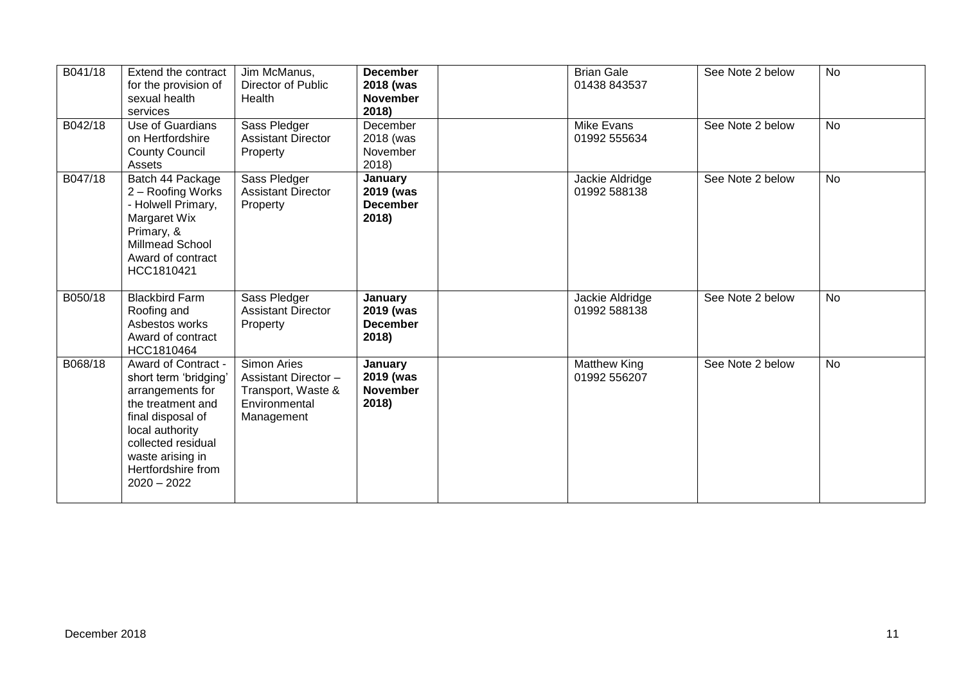| B041/18 | Extend the contract<br>for the provision of<br>sexual health<br>services                                                                                                                                       | Jim McManus,<br>Director of Public<br>Health                                                   | <b>December</b><br>2018 (was<br><b>November</b><br>2018) | <b>Brian Gale</b><br>01438 843537   | See Note 2 below | No        |
|---------|----------------------------------------------------------------------------------------------------------------------------------------------------------------------------------------------------------------|------------------------------------------------------------------------------------------------|----------------------------------------------------------|-------------------------------------|------------------|-----------|
| B042/18 | Use of Guardians<br>on Hertfordshire<br><b>County Council</b><br>Assets                                                                                                                                        | Sass Pledger<br><b>Assistant Director</b><br>Property                                          | December<br>2018 (was<br>November<br>2018)               | <b>Mike Evans</b><br>01992 555634   | See Note 2 below | <b>No</b> |
| B047/18 | Batch 44 Package<br>2 - Roofing Works<br>- Holwell Primary,<br>Margaret Wix<br>Primary, &<br>Millmead School<br>Award of contract<br>HCC1810421                                                                | Sass Pledger<br><b>Assistant Director</b><br>Property                                          | January<br>2019 (was<br><b>December</b><br>2018)         | Jackie Aldridge<br>01992 588138     | See Note 2 below | <b>No</b> |
| B050/18 | <b>Blackbird Farm</b><br>Roofing and<br>Asbestos works<br>Award of contract<br>HCC1810464                                                                                                                      | Sass Pledger<br><b>Assistant Director</b><br>Property                                          | January<br>2019 (was<br><b>December</b><br>2018)         | Jackie Aldridge<br>01992 588138     | See Note 2 below | <b>No</b> |
| B068/18 | Award of Contract -<br>short term 'bridging'<br>arrangements for<br>the treatment and<br>final disposal of<br>local authority<br>collected residual<br>waste arising in<br>Hertfordshire from<br>$2020 - 2022$ | Simon Aries<br><b>Assistant Director-</b><br>Transport, Waste &<br>Environmental<br>Management | January<br>2019 (was<br><b>November</b><br>2018)         | <b>Matthew King</b><br>01992 556207 | See Note 2 below | <b>No</b> |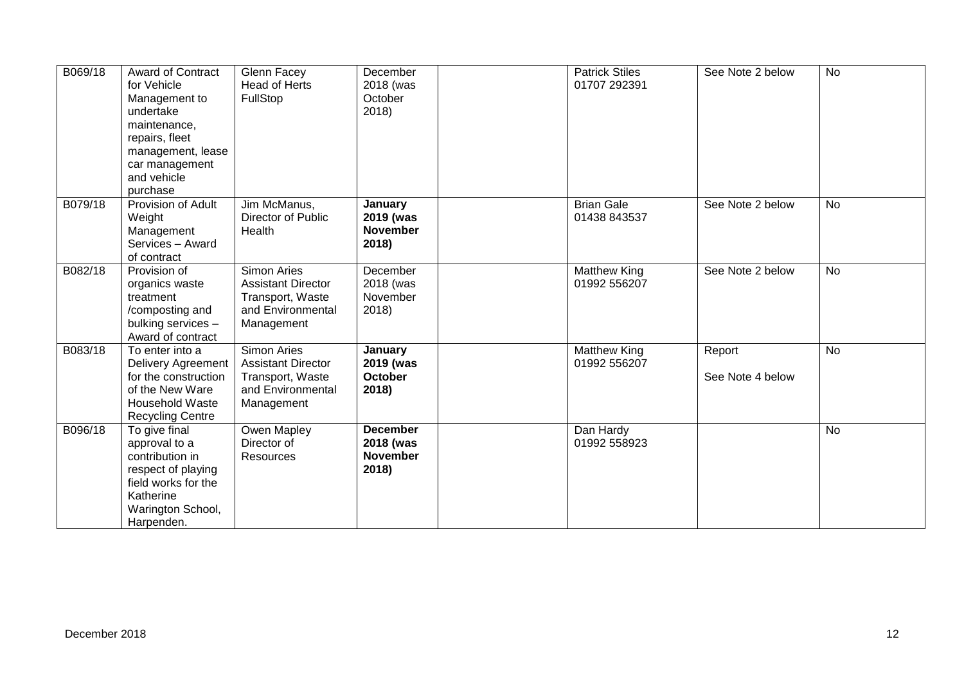| B069/18 | Award of Contract<br>for Vehicle<br>Management to<br>undertake<br>maintenance,<br>repairs, fleet<br>management, lease<br>car management<br>and vehicle<br>purchase | <b>Glenn Facey</b><br>Head of Herts<br>FullStop                                                        | December<br>2018 (was<br>October<br>2018)                | <b>Patrick Stiles</b><br>01707 292391 | See Note 2 below           | No        |
|---------|--------------------------------------------------------------------------------------------------------------------------------------------------------------------|--------------------------------------------------------------------------------------------------------|----------------------------------------------------------|---------------------------------------|----------------------------|-----------|
| B079/18 | Provision of Adult<br>Weight<br>Management<br>Services - Award<br>of contract                                                                                      | Jim McManus,<br>Director of Public<br>Health                                                           | January<br>2019 (was<br><b>November</b><br>2018)         | <b>Brian Gale</b><br>01438 843537     | See Note 2 below           | <b>No</b> |
| B082/18 | Provision of<br>organics waste<br>treatment<br>/composting and<br>bulking services -<br>Award of contract                                                          | <b>Simon Aries</b><br><b>Assistant Director</b><br>Transport, Waste<br>and Environmental<br>Management | December<br>2018 (was<br>November<br>2018)               | <b>Matthew King</b><br>01992 556207   | See Note 2 below           | <b>No</b> |
| B083/18 | To enter into a<br><b>Delivery Agreement</b><br>for the construction<br>of the New Ware<br><b>Household Waste</b><br><b>Recycling Centre</b>                       | Simon Aries<br><b>Assistant Director</b><br>Transport, Waste<br>and Environmental<br>Management        | January<br>2019 (was<br>October<br>2018)                 | Matthew King<br>01992 556207          | Report<br>See Note 4 below | No        |
| B096/18 | To give final<br>approval to a<br>contribution in<br>respect of playing<br>field works for the<br>Katherine<br>Warington School,<br>Harpenden.                     | Owen Mapley<br>Director of<br>Resources                                                                | <b>December</b><br>2018 (was<br><b>November</b><br>2018) | Dan Hardy<br>01992 558923             |                            | <b>No</b> |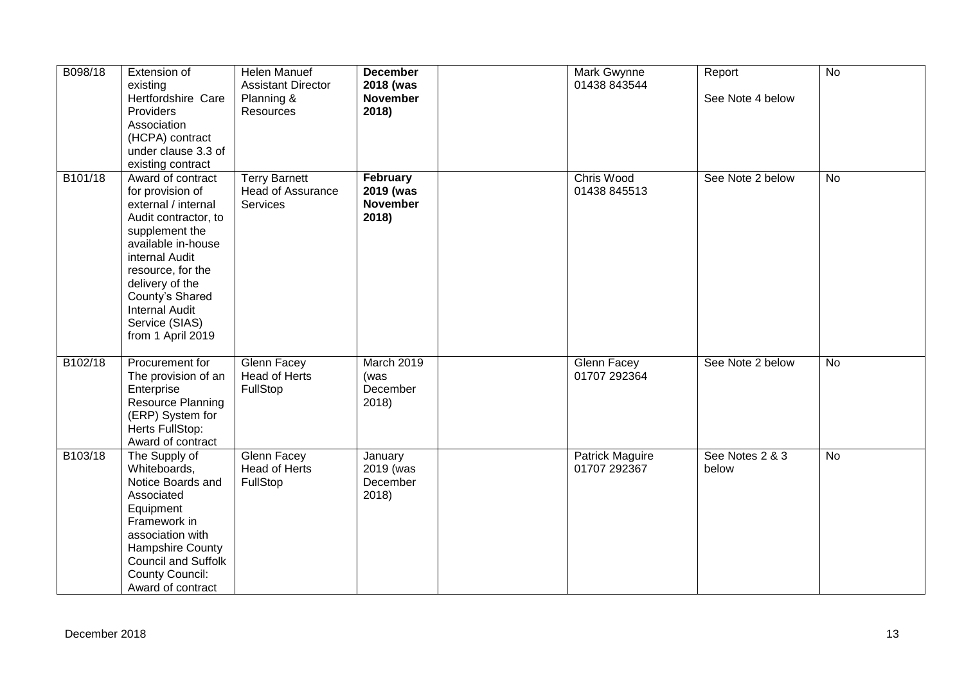| B098/18 | Extension of<br>existing<br>Hertfordshire Care<br>Providers<br>Association<br>(HCPA) contract<br>under clause 3.3 of<br>existing contract                                                                                                                                 | Helen Manuef<br><b>Assistant Director</b><br>Planning &<br>Resources | <b>December</b><br>2018 (was<br><b>November</b><br>2018) | Mark Gwynne<br>01438 843544            | Report<br>See Note 4 below | $\overline{N}$ |
|---------|---------------------------------------------------------------------------------------------------------------------------------------------------------------------------------------------------------------------------------------------------------------------------|----------------------------------------------------------------------|----------------------------------------------------------|----------------------------------------|----------------------------|----------------|
| B101/18 | Award of contract<br>for provision of<br>external / internal<br>Audit contractor, to<br>supplement the<br>available in-house<br>internal Audit<br>resource, for the<br>delivery of the<br>County's Shared<br><b>Internal Audit</b><br>Service (SIAS)<br>from 1 April 2019 | <b>Terry Barnett</b><br>Head of Assurance<br>Services                | February<br>2019 (was<br><b>November</b><br>2018)        | Chris Wood<br>01438 845513             | See Note 2 below           | <b>No</b>      |
| B102/18 | Procurement for<br>The provision of an<br>Enterprise<br><b>Resource Planning</b><br>(ERP) System for<br>Herts FullStop:<br>Award of contract                                                                                                                              | Glenn Facey<br>Head of Herts<br>FullStop                             | March 2019<br>(was<br>December<br>2018                   | Glenn Facey<br>01707 292364            | See Note 2 below           | <b>No</b>      |
| B103/18 | The Supply of<br>Whiteboards,<br>Notice Boards and<br>Associated<br>Equipment<br>Framework in<br>association with<br>Hampshire County<br><b>Council and Suffolk</b><br><b>County Council:</b><br>Award of contract                                                        | <b>Glenn Facey</b><br><b>Head of Herts</b><br>FullStop               | January<br>2019 (was<br>December<br>2018                 | <b>Patrick Maguire</b><br>01707 292367 | See Notes 2 & 3<br>below   | <b>No</b>      |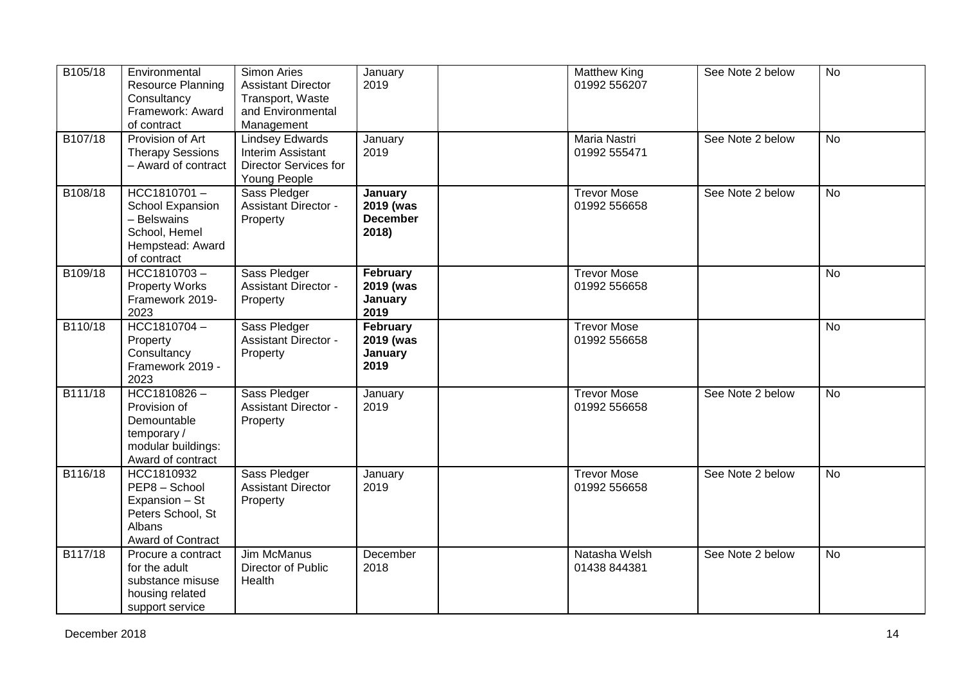| B105/18 | Environmental<br>Resource Planning<br>Consultancy<br>Framework: Award<br>of contract                     | Simon Aries<br><b>Assistant Director</b><br>Transport, Waste<br>and Environmental<br>Management | January<br>2019                                  | <b>Matthew King</b><br>01992 556207 | See Note 2 below | <b>No</b> |
|---------|----------------------------------------------------------------------------------------------------------|-------------------------------------------------------------------------------------------------|--------------------------------------------------|-------------------------------------|------------------|-----------|
| B107/18 | Provision of Art<br><b>Therapy Sessions</b><br>- Award of contract                                       | <b>Lindsey Edwards</b><br>Interim Assistant<br>Director Services for<br>Young People            | January<br>2019                                  | Maria Nastri<br>01992 555471        | See Note 2 below | <b>No</b> |
| B108/18 | $HCC1810701 -$<br>School Expansion<br>- Belswains<br>School, Hemel<br>Hempstead: Award<br>of contract    | Sass Pledger<br><b>Assistant Director -</b><br>Property                                         | January<br>2019 (was<br><b>December</b><br>2018) | <b>Trevor Mose</b><br>01992 556658  | See Note 2 below | <b>No</b> |
| B109/18 | $HCC1810703 -$<br><b>Property Works</b><br>Framework 2019-<br>2023                                       | Sass Pledger<br><b>Assistant Director -</b><br>Property                                         | February<br>2019 (was<br>January<br>2019         | <b>Trevor Mose</b><br>01992 556658  |                  | No        |
| B110/18 | HCC1810704-<br>Property<br>Consultancy<br>Framework 2019 -<br>2023                                       | Sass Pledger<br><b>Assistant Director -</b><br>Property                                         | February<br>2019 (was<br>January<br>2019         | <b>Trevor Mose</b><br>01992 556658  |                  | No        |
| B111/18 | $HCC1810826 -$<br>Provision of<br>Demountable<br>temporary/<br>modular buildings:<br>Award of contract   | Sass Pledger<br><b>Assistant Director -</b><br>Property                                         | January<br>2019                                  | <b>Trevor Mose</b><br>01992 556658  | See Note 2 below | <b>No</b> |
| B116/18 | HCC1810932<br>PEP8 - School<br>Expansion - St<br>Peters School, St<br><b>Albans</b><br>Award of Contract | Sass Pledger<br><b>Assistant Director</b><br>Property                                           | January<br>2019                                  | <b>Trevor Mose</b><br>01992 556658  | See Note 2 below | No        |
| B117/18 | Procure a contract<br>for the adult<br>substance misuse<br>housing related<br>support service            | <b>Jim McManus</b><br>Director of Public<br>Health                                              | December<br>2018                                 | Natasha Welsh<br>01438 844381       | See Note 2 below | <b>No</b> |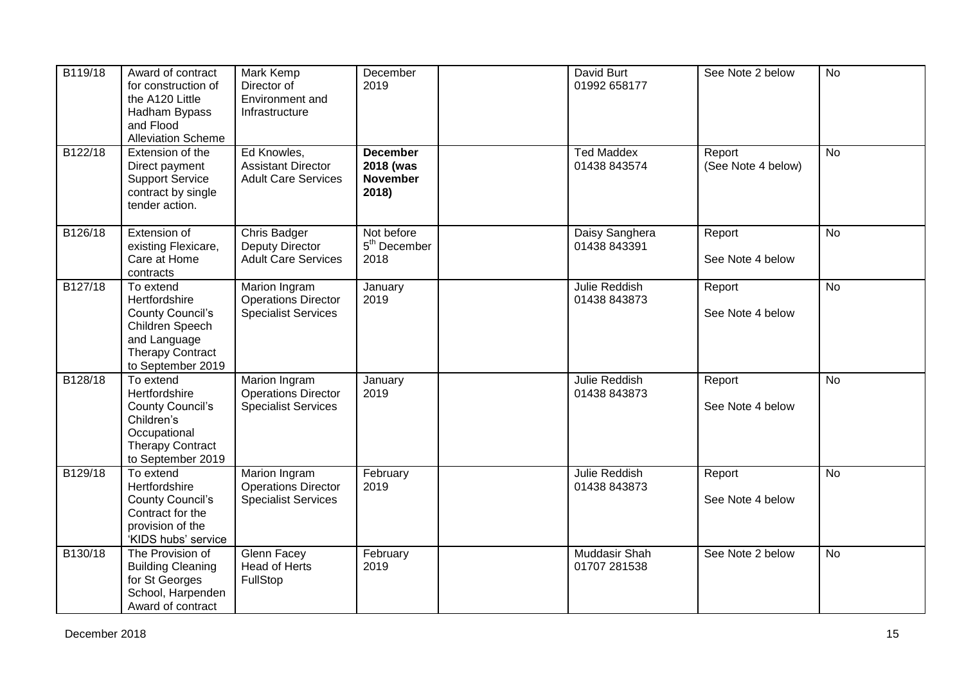| B119/18 | Award of contract<br>for construction of<br>the A120 Little<br>Hadham Bypass<br>and Flood<br><b>Alleviation Scheme</b>                   | Mark Kemp<br>Director of<br>Environment and<br>Infrastructure                    | December<br>2019                                         | David Burt<br>01992 658177        | See Note 2 below             | <b>No</b> |
|---------|------------------------------------------------------------------------------------------------------------------------------------------|----------------------------------------------------------------------------------|----------------------------------------------------------|-----------------------------------|------------------------------|-----------|
| B122/18 | Extension of the<br>Direct payment<br><b>Support Service</b><br>contract by single<br>tender action.                                     | Ed Knowles,<br><b>Assistant Director</b><br><b>Adult Care Services</b>           | <b>December</b><br>2018 (was<br><b>November</b><br>2018) | <b>Ted Maddex</b><br>01438 843574 | Report<br>(See Note 4 below) | <b>No</b> |
| B126/18 | Extension of<br>existing Flexicare,<br>Care at Home<br>contracts                                                                         | Chris Badger<br><b>Deputy Director</b><br><b>Adult Care Services</b>             | Not before<br>5 <sup>th</sup> December<br>2018           | Daisy Sanghera<br>01438 843391    | Report<br>See Note 4 below   | <b>No</b> |
| B127/18 | To extend<br>Hertfordshire<br><b>County Council's</b><br>Children Speech<br>and Language<br><b>Therapy Contract</b><br>to September 2019 | <b>Marion Ingram</b><br><b>Operations Director</b><br><b>Specialist Services</b> | January<br>2019                                          | Julie Reddish<br>01438 843873     | Report<br>See Note 4 below   | No        |
| B128/18 | To extend<br>Hertfordshire<br><b>County Council's</b><br>Children's<br>Occupational<br><b>Therapy Contract</b><br>to September 2019      | Marion Ingram<br><b>Operations Director</b><br><b>Specialist Services</b>        | January<br>2019                                          | Julie Reddish<br>01438 843873     | Report<br>See Note 4 below   | <b>No</b> |
| B129/18 | To extend<br>Hertfordshire<br><b>County Council's</b><br>Contract for the<br>provision of the<br>'KIDS hubs' service                     | Marion Ingram<br><b>Operations Director</b><br><b>Specialist Services</b>        | February<br>2019                                         | Julie Reddish<br>01438 843873     | Report<br>See Note 4 below   | <b>No</b> |
| B130/18 | The Provision of<br><b>Building Cleaning</b><br>for St Georges<br>School, Harpenden<br>Award of contract                                 | Glenn Facey<br>Head of Herts<br>FullStop                                         | February<br>2019                                         | Muddasir Shah<br>01707 281538     | See Note 2 below             | <b>No</b> |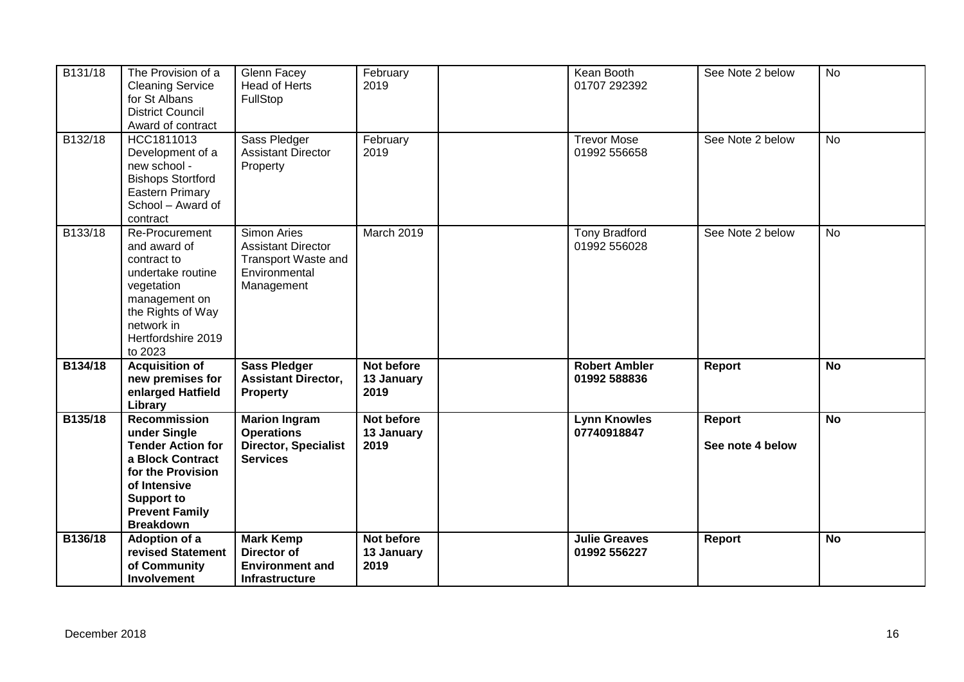| B131/18 | The Provision of a<br><b>Cleaning Service</b><br>for St Albans<br><b>District Council</b><br>Award of contract                                                                             | Glenn Facey<br>Head of Herts<br>FullStop                                                                     | February<br>2019                 | Kean Booth<br>01707 292392           | See Note 2 below           | <b>No</b> |
|---------|--------------------------------------------------------------------------------------------------------------------------------------------------------------------------------------------|--------------------------------------------------------------------------------------------------------------|----------------------------------|--------------------------------------|----------------------------|-----------|
| B132/18 | HCC1811013<br>Development of a<br>new school -<br><b>Bishops Stortford</b><br>Eastern Primary<br>School - Award of<br>contract                                                             | Sass Pledger<br><b>Assistant Director</b><br>Property                                                        | February<br>2019                 | <b>Trevor Mose</b><br>01992 556658   | See Note 2 below           | No        |
| B133/18 | Re-Procurement<br>and award of<br>contract to<br>undertake routine<br>vegetation<br>management on<br>the Rights of Way<br>network in<br>Hertfordshire 2019<br>to 2023                      | <b>Simon Aries</b><br><b>Assistant Director</b><br><b>Transport Waste and</b><br>Environmental<br>Management | March 2019                       | <b>Tony Bradford</b><br>01992 556028 | See Note 2 below           | No        |
| B134/18 | <b>Acquisition of</b><br>new premises for<br>enlarged Hatfield<br>Library                                                                                                                  | <b>Sass Pledger</b><br><b>Assistant Director,</b><br><b>Property</b>                                         | Not before<br>13 January<br>2019 | <b>Robert Ambler</b><br>01992 588836 | Report                     | <b>No</b> |
| B135/18 | <b>Recommission</b><br>under Single<br><b>Tender Action for</b><br>a Block Contract<br>for the Provision<br>of Intensive<br><b>Support to</b><br><b>Prevent Family</b><br><b>Breakdown</b> | <b>Marion Ingram</b><br><b>Operations</b><br><b>Director, Specialist</b><br><b>Services</b>                  | Not before<br>13 January<br>2019 | <b>Lynn Knowles</b><br>07740918847   | Report<br>See note 4 below | <b>No</b> |
| B136/18 | <b>Adoption of a</b><br>revised Statement<br>of Community<br><b>Involvement</b>                                                                                                            | <b>Mark Kemp</b><br><b>Director of</b><br><b>Environment and</b><br><b>Infrastructure</b>                    | Not before<br>13 January<br>2019 | <b>Julie Greaves</b><br>01992 556227 | Report                     | <b>No</b> |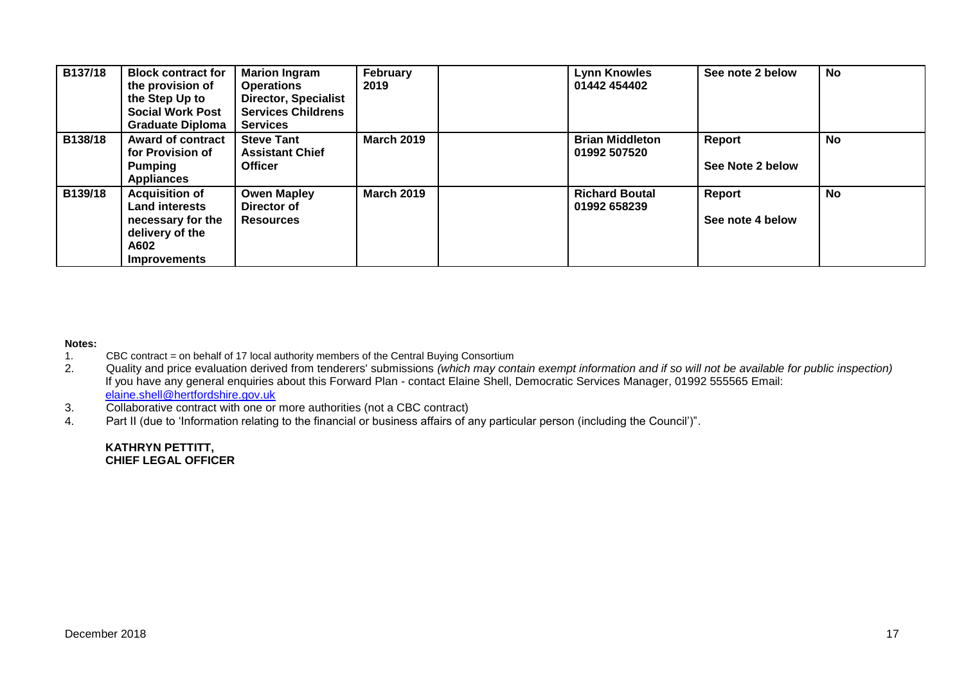| B137/18 | <b>Block contract for</b><br>the provision of<br>the Step Up to<br><b>Social Work Post</b><br><b>Graduate Diploma</b> | <b>Marion Ingram</b><br><b>Operations</b><br><b>Director, Specialist</b><br><b>Services Childrens</b><br><b>Services</b> | February<br>2019  | Lynn Knowles<br>01442 454402           | See note 2 below                  | <b>No</b> |
|---------|-----------------------------------------------------------------------------------------------------------------------|--------------------------------------------------------------------------------------------------------------------------|-------------------|----------------------------------------|-----------------------------------|-----------|
| B138/18 | <b>Award of contract</b><br>for Provision of<br><b>Pumping</b><br><b>Appliances</b>                                   | <b>Steve Tant</b><br><b>Assistant Chief</b><br><b>Officer</b>                                                            | <b>March 2019</b> | <b>Brian Middleton</b><br>01992 507520 | Report<br>See Note 2 below        | <b>No</b> |
| B139/18 | <b>Acquisition of</b><br><b>Land interests</b><br>necessary for the<br>delivery of the<br>A602<br><b>Improvements</b> | <b>Owen Mapley</b><br>Director of<br><b>Resources</b>                                                                    | <b>March 2019</b> | <b>Richard Boutal</b><br>01992 658239  | <b>Report</b><br>See note 4 below | <b>No</b> |

#### **Notes:**

- 1. CBC contract = on behalf of 17 local authority members of the Central Buying Consortium<br>2. Quality and price evaluation derived from tenderers' submissions (which may con
- 2. Quality and price evaluation derived from tenderers' submissions *(which may contain exempt information and if so will not be available for public inspection)* If you have any general enquiries about this Forward Plan - contact Elaine Shell, Democratic Services Manager, 01992 555565 Email: [elaine.shell@hertfordshire.gov.uk](mailto:elaine.shell@hertfordshire.gov.uk)
- 3. Collaborative contract with one or more authorities (not a CBC contract)
- 4. Part II (due to 'Information relating to the financial or business affairs of any particular person (including the Council')".

#### **KATHRYN PETTITT, CHIEF LEGAL OFFICER**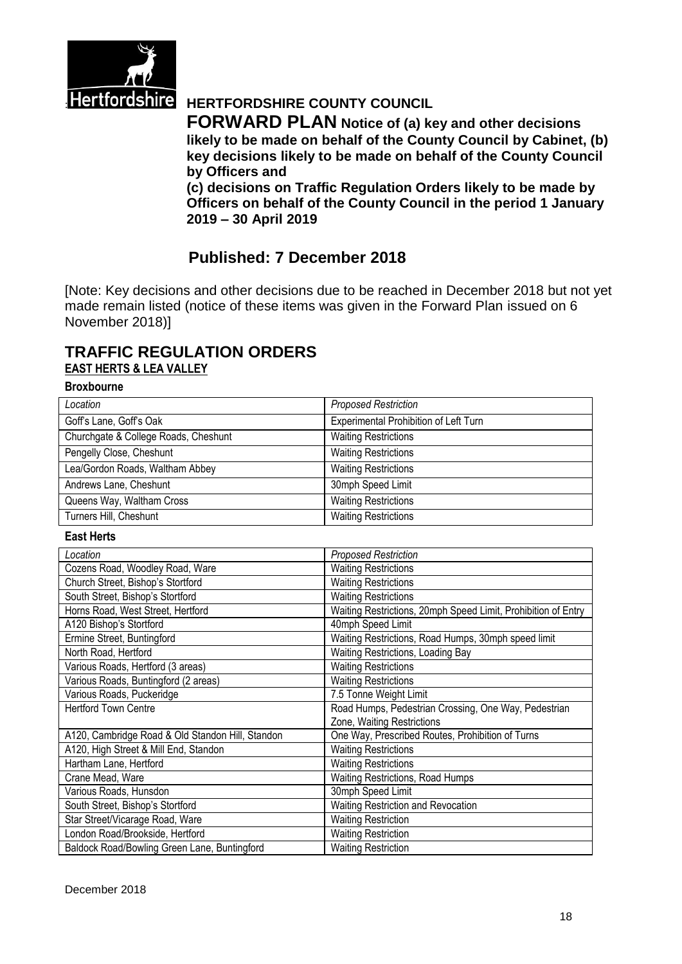

# **Hertfordshire HERTFORDSHIRE COUNTY COUNCIL**

**FORWARD PLAN Notice of (a) key and other decisions likely to be made on behalf of the County Council by Cabinet, (b) key decisions likely to be made on behalf of the County Council by Officers and** 

**(c) decisions on Traffic Regulation Orders likely to be made by Officers on behalf of the County Council in the period 1 January 2019 – 30 April 2019**

# **Published: 7 December 2018**

[Note: Key decisions and other decisions due to be reached in December 2018 but not yet made remain listed (notice of these items was given in the Forward Plan issued on 6 November 2018)]

# **TRAFFIC REGULATION ORDERS EAST HERTS & LEA VALLEY**

### **Broxbourne**

| Location                             | <b>Proposed Restriction</b>           |
|--------------------------------------|---------------------------------------|
|                                      |                                       |
| Goff's Lane, Goff's Oak              | Experimental Prohibition of Left Turn |
| Churchgate & College Roads, Cheshunt | <b>Waiting Restrictions</b>           |
| Pengelly Close, Cheshunt             | <b>Waiting Restrictions</b>           |
| Lea/Gordon Roads, Waltham Abbey      | <b>Waiting Restrictions</b>           |
| Andrews Lane, Cheshunt               | 30mph Speed Limit                     |
| Queens Way, Waltham Cross            | <b>Waiting Restrictions</b>           |
| Turners Hill, Cheshunt               | <b>Waiting Restrictions</b>           |

#### **East Herts**

| Location                                         | <b>Proposed Restriction</b>                                   |
|--------------------------------------------------|---------------------------------------------------------------|
| Cozens Road, Woodley Road, Ware                  | <b>Waiting Restrictions</b>                                   |
| Church Street, Bishop's Stortford                | <b>Waiting Restrictions</b>                                   |
| South Street, Bishop's Stortford                 | <b>Waiting Restrictions</b>                                   |
| Horns Road, West Street, Hertford                | Waiting Restrictions, 20mph Speed Limit, Prohibition of Entry |
| A120 Bishop's Stortford                          | 40mph Speed Limit                                             |
| Ermine Street, Buntingford                       | Waiting Restrictions, Road Humps, 30mph speed limit           |
| North Road, Hertford                             | Waiting Restrictions, Loading Bay                             |
| Various Roads, Hertford (3 areas)                | <b>Waiting Restrictions</b>                                   |
| Various Roads, Buntingford (2 areas)             | <b>Waiting Restrictions</b>                                   |
| Various Roads, Puckeridge                        | 7.5 Tonne Weight Limit                                        |
| <b>Hertford Town Centre</b>                      | Road Humps, Pedestrian Crossing, One Way, Pedestrian          |
|                                                  | Zone, Waiting Restrictions                                    |
| A120, Cambridge Road & Old Standon Hill, Standon | One Way, Prescribed Routes, Prohibition of Turns              |
| A120, High Street & Mill End, Standon            | <b>Waiting Restrictions</b>                                   |
| Hartham Lane, Hertford                           | <b>Waiting Restrictions</b>                                   |
| Crane Mead, Ware                                 | <b>Waiting Restrictions, Road Humps</b>                       |
| Various Roads, Hunsdon                           | 30mph Speed Limit                                             |
| South Street, Bishop's Stortford                 | Waiting Restriction and Revocation                            |
| Star Street/Vicarage Road, Ware                  | <b>Waiting Restriction</b>                                    |
| London Road/Brookside, Hertford                  | <b>Waiting Restriction</b>                                    |
| Baldock Road/Bowling Green Lane, Buntingford     | <b>Waiting Restriction</b>                                    |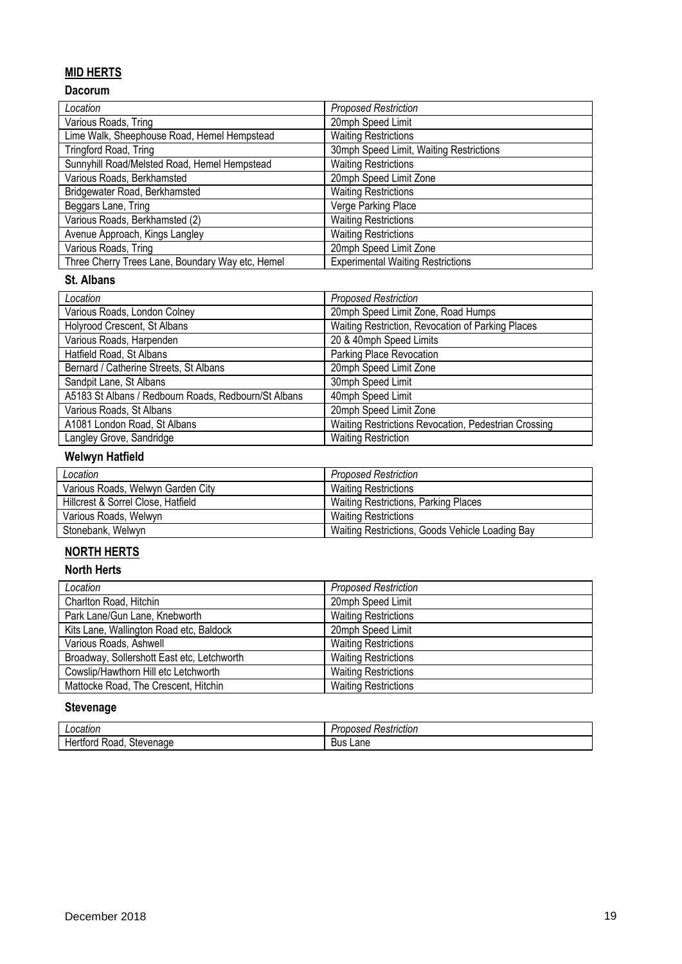# **MID HERTS**

# **Dacorum**

| Location                                         | <b>Proposed Restriction</b>              |
|--------------------------------------------------|------------------------------------------|
| Various Roads, Tring                             | 20mph Speed Limit                        |
| Lime Walk, Sheephouse Road, Hemel Hempstead      | <b>Waiting Restrictions</b>              |
| Tringford Road, Tring                            | 30mph Speed Limit, Waiting Restrictions  |
| Sunnyhill Road/Melsted Road, Hemel Hempstead     | <b>Waiting Restrictions</b>              |
| Various Roads, Berkhamsted                       | 20mph Speed Limit Zone                   |
| Bridgewater Road, Berkhamsted                    | <b>Waiting Restrictions</b>              |
| Beggars Lane, Tring                              | Verge Parking Place                      |
| Various Roads, Berkhamsted (2)                   | <b>Waiting Restrictions</b>              |
| Avenue Approach, Kings Langley                   | <b>Waiting Restrictions</b>              |
| Various Roads, Tring                             | 20mph Speed Limit Zone                   |
| Three Cherry Trees Lane, Boundary Way etc, Hemel | <b>Experimental Waiting Restrictions</b> |

### **St. Albans**

| Location                                             | <b>Proposed Restriction</b>                          |
|------------------------------------------------------|------------------------------------------------------|
| Various Roads, London Colney                         | 20mph Speed Limit Zone, Road Humps                   |
| Holyrood Crescent, St Albans                         | Waiting Restriction, Revocation of Parking Places    |
| Various Roads, Harpenden                             | 20 & 40mph Speed Limits                              |
| Hatfield Road, St Albans                             | Parking Place Revocation                             |
| Bernard / Catherine Streets, St Albans               | 20mph Speed Limit Zone                               |
| Sandpit Lane, St Albans                              | 30mph Speed Limit                                    |
| A5183 St Albans / Redbourn Roads, Redbourn/St Albans | 40mph Speed Limit                                    |
| Various Roads, St Albans                             | 20mph Speed Limit Zone                               |
| A1081 London Road, St Albans                         | Waiting Restrictions Revocation, Pedestrian Crossing |
| Langley Grove, Sandridge                             | <b>Waiting Restriction</b>                           |

# **Welwyn Hatfield**

| Location                           | <b>Proposed Restriction</b>                     |
|------------------------------------|-------------------------------------------------|
| Various Roads, Welwyn Garden City  | <b>Waiting Restrictions</b>                     |
| Hillcrest & Sorrel Close, Hatfield | <b>Waiting Restrictions, Parking Places</b>     |
| Various Roads, Welwyn              | <b>Waiting Restrictions</b>                     |
| Stonebank, Welwyn                  | Waiting Restrictions, Goods Vehicle Loading Bay |

# **NORTH HERTS**

### **North Herts**

| Location                                   | <b>Proposed Restriction</b> |
|--------------------------------------------|-----------------------------|
| Charlton Road, Hitchin                     | 20mph Speed Limit           |
| Park Lane/Gun Lane, Knebworth              | <b>Waiting Restrictions</b> |
| Kits Lane, Wallington Road etc, Baldock    | 20mph Speed Limit           |
| Various Roads, Ashwell                     | <b>Waiting Restrictions</b> |
| Broadway, Sollershott East etc, Letchworth | <b>Waiting Restrictions</b> |
| Cowslip/Hawthorn Hill etc Letchworth       | <b>Waiting Restrictions</b> |
| Mattocke Road, The Crescent, Hitchin       | <b>Waiting Restrictions</b> |

# **Stevenage**

| ncation<br>cation<br>.                                              | $\cdot$<br>estriction<br>SH.<br><br>. |
|---------------------------------------------------------------------|---------------------------------------|
| .<br>$\sim$<br>$\mathsf{w}$<br>u٢<br>па<br>Roac<br>−⊢<br>∽اد.<br>uu | Lane<br>Bus                           |